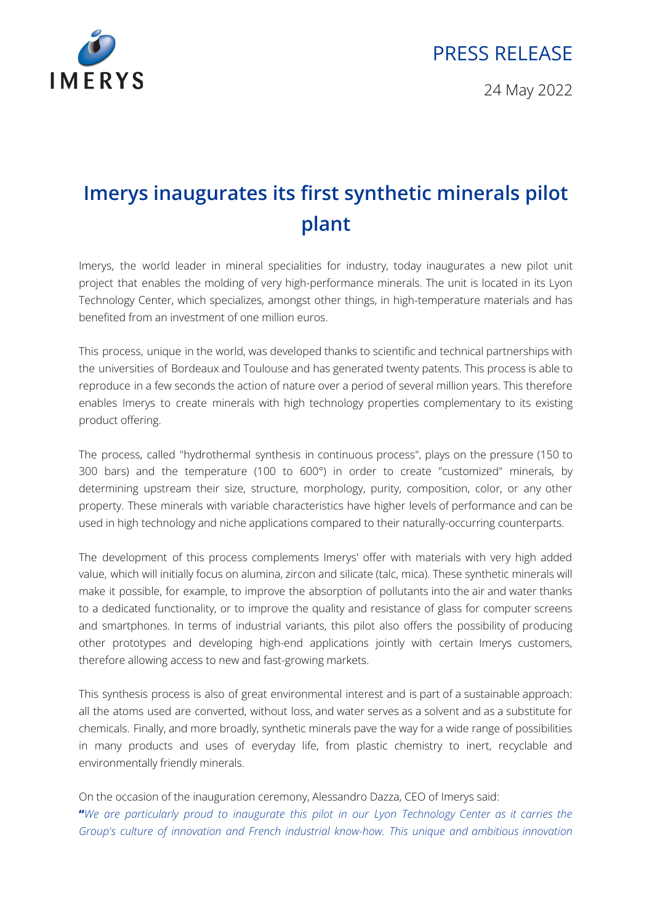

## PRESS RELEASE

24 May 2022

## **Imerys inaugurates its first synthetic minerals pilot plant**

Imerys, the world leader in mineral specialities for industry, today inaugurates a new pilot unit project that enables the molding of very high-performance minerals. The unit is located in its Lyon Technology Center, which specializes, amongst other things, in high-temperature materials and has benefited from an investment of one million euros.

This process, unique in the world, was developed thanks to scientific and technical partnerships with the universities of Bordeaux and Toulouse and has generated twenty patents. This process is able to reproduce in a few seconds the action of nature over a period of several million years. This therefore enables Imerys to create minerals with high technology properties complementary to its existing product offering.

The process, called "hydrothermal synthesis in continuous process", plays on the pressure (150 to 300 bars) and the temperature (100 to 600°) in order to create "customized" minerals, by determining upstream their size, structure, morphology, purity, composition, color, or any other property. These minerals with variable characteristics have higher levels of performance and can be used in high technology and niche applications compared to their naturally-occurring counterparts.

The development of this process complements Imerys' offer with materials with very high added value, which will initially focus on alumina, zircon and silicate (talc, mica). These synthetic minerals will make it possible, for example, to improve the absorption of pollutants into the air and water thanks to a dedicated functionality, or to improve the quality and resistance of glass for computer screens and smartphones. In terms of industrial variants, this pilot also offers the possibility of producing other prototypes and developing high-end applications jointly with certain Imerys customers, therefore allowing access to new and fast-growing markets.

This synthesis process is also of great environmental interest and is part of a sustainable approach: all the atoms used are converted, without loss, and water serves as a solvent and as a substitute for chemicals. Finally, and more broadly, synthetic minerals pave the way for a wide range of possibilities in many products and uses of everyday life, from plastic chemistry to inert, recyclable and environmentally friendly minerals.

On the occasion of the inauguration ceremony, Alessandro Dazza, CEO of Imerys said: "We are particularly proud to inaugurate this pilot in our Lyon Technology Center as it carries the *Group's culture of innovation and French industrial know-how. This unique and ambitious innovation*